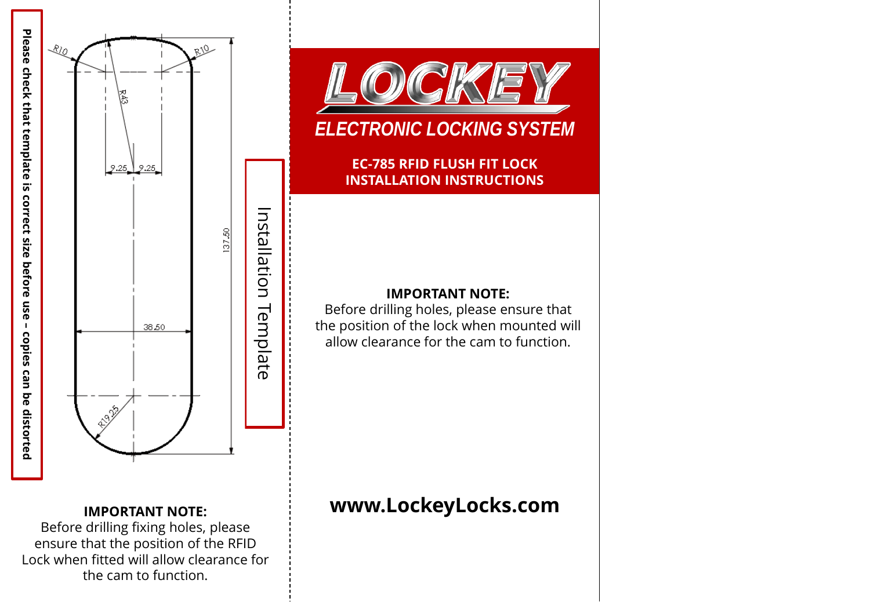





# *ELECTRONIC LOCKING SYSTEM*

**EC-785 RFID FLUSH FIT LOCK INSTALLATION INSTRUCTIONS**

### **IMPORTANT NOTE:**

Before drilling holes, please ensure that the position of the lock when mounted will allow clearance for the cam to function.

## **IMPORTANT NOTE:** Before drilling fixing holes, please

ensure that the position of the RFID Lock when fitted will allow clearance for the cam to function.

# **www.LockeyLocks.com**